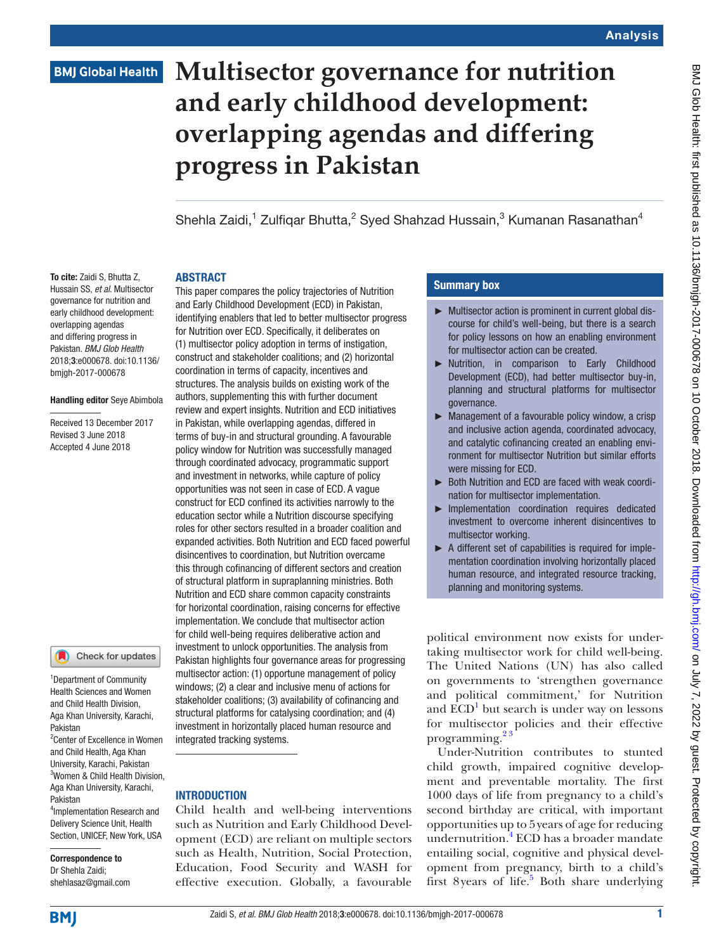# **BMJ Global Health**

# **Multisector governance for nutrition and early childhood development: overlapping agendas and differing progress in Pakistan**

Shehla Zaidi,<sup>1</sup> Zulfiqar Bhutta,<sup>2</sup> Syed Shahzad Hussain,<sup>3</sup> Kumanan Rasanathan<sup>4</sup>

#### **ABSTRACT** This paper compares the policy trajectories of Nutrition

To cite: Zaidi S, Bhutta Z, Hussain SS, *et al*. Multisector governance for nutrition and early childhood development: overlapping agendas and differing progress in Pakistan. *BMJ Glob Health* 2018;3:e000678. doi:10.1136/ bmjgh-2017-000678

#### Handling editor Seye Abimbola

Received 13 December 2017 Revised 3 June 2018 Accepted 4 June 2018

# Check for updates

1 Department of Community Health Sciences and Women and Child Health Division, Aga Khan University, Karachi, Pakistan

2 Center of Excellence in Women and Child Health, Aga Khan University, Karachi, Pakistan 3 Women & Child Health Division, Aga Khan University, Karachi, Pakistan

4 Implementation Research and Delivery Science Unit, Health Section, UNICEF, New York, USA

#### Correspondence to Dr Shehla Zaidi; shehlasaz@gmail.com

and Early Childhood Development (ECD) in Pakistan, identifying enablers that led to better multisector progress for Nutrition over ECD. Specifically, it deliberates on (1) multisector policy adoption in terms of instigation, construct and stakeholder coalitions; and (2) horizontal coordination in terms of capacity, incentives and structures. The analysis builds on existing work of the authors, supplementing this with further document review and expert insights. Nutrition and ECD initiatives in Pakistan, while overlapping agendas, differed in terms of buy-in and structural grounding. A favourable policy window for Nutrition was successfully managed through coordinated advocacy, programmatic support and investment in networks, while capture of policy opportunities was not seen in case of ECD. A vague construct for ECD confined its activities narrowly to the education sector while a Nutrition discourse specifying roles for other sectors resulted in a broader coalition and expanded activities. Both Nutrition and ECD faced powerful disincentives to coordination, but Nutrition overcame this through cofinancing of different sectors and creation of structural platform in supraplanning ministries. Both Nutrition and ECD share common capacity constraints for horizontal coordination, raising concerns for effective implementation. We conclude that multisector action for child well-being requires deliberative action and investment to unlock opportunities. The analysis from Pakistan highlights four governance areas for progressing multisector action: (1) opportune management of policy windows; (2) a clear and inclusive menu of actions for stakeholder coalitions; (3) availability of cofinancing and structural platforms for catalysing coordination; and (4) investment in horizontally placed human resource and integrated tracking systems.

# **INTRODUCTION**

Child health and well-being interventions such as Nutrition and Early Childhood Development (ECD) are reliant on multiple sectors such as Health, Nutrition, Social Protection, Education, Food Security and WASH for effective execution. Globally, a favourable

# Summary box

- ► Multisector action is prominent in current global discourse for child's well-being, but there is a search for policy lessons on how an enabling environment for multisector action can be created.
- ► Nutrition, in comparison to Early Childhood Development (ECD), had better multisector buy-in, planning and structural platforms for multisector governance.
- ► Management of a favourable policy window, a crisp and inclusive action agenda, coordinated advocacy, and catalytic cofinancing created an enabling environment for multisector Nutrition but similar efforts were missing for ECD.
- ► Both Nutrition and ECD are faced with weak coordination for multisector implementation.
- ► Implementation coordination requires dedicated investment to overcome inherent disincentives to multisector working.
- $\blacktriangleright$  A different set of capabilities is required for implementation coordination involving horizontally placed human resource, and integrated resource tracking, planning and monitoring systems.

political environment now exists for undertaking multisector work for child well-being. The United Nations (UN) has also called on governments to 'strengthen governance and political commitment,' for Nutrition and  $ECD<sup>1</sup>$  but search is under way on lessons for multisector policies and their effective programming.<sup>23</sup>

Under-Nutrition contributes to stunted child growth, impaired cognitive development and preventable mortality. The first 1000 days of life from pregnancy to a child's second birthday are critical, with important opportunities up to 5years of age for reducing undernutrition.<sup>[4](#page-6-2)</sup> ECD has a broader mandate entailing social, cognitive and physical development from pregnancy, birth to a child's first 8years of life.<sup>[5](#page-6-3)</sup> Both share underlying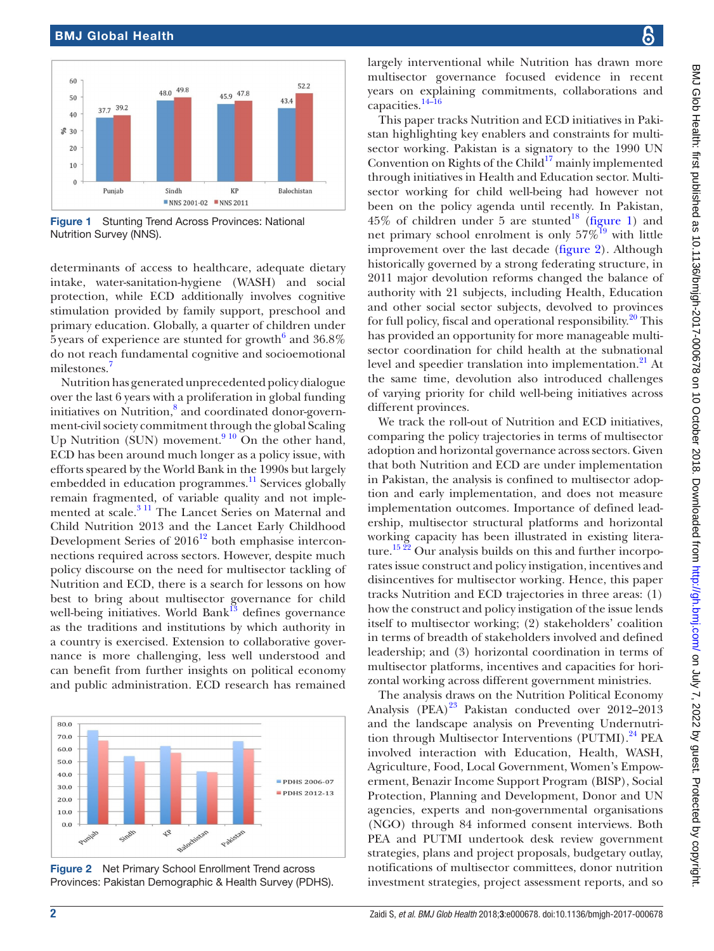

<span id="page-1-0"></span>Figure 1 Stunting Trend Across Provinces: National Nutrition Survey (NNS).

determinants of access to healthcare, adequate dietary intake, water-sanitation-hygiene (WASH) and social protection, while ECD additionally involves cognitive stimulation provided by family support, preschool and primary education. Globally, a quarter of children under 5 years of experience are stunted for growth<sup>6</sup> and  $36.8\%$ do not reach fundamental cognitive and socioemotional milestones.<sup>[7](#page-6-5)</sup>

Nutrition has generated unprecedented policy dialogue over the last 6 years with a proliferation in global funding initiatives on Nutrition,<sup>8</sup> and coordinated donor-government-civil society commitment through the global Scaling Up Nutrition (SUN) movement.<sup>[9 10](#page-6-7)</sup> On the other hand, ECD has been around much longer as a policy issue, with efforts speared by the World Bank in the 1990s but largely embedded in education programmes.<sup>11</sup> Services globally remain fragmented, of variable quality and not implemented at scale.<sup>3 11</sup> The Lancet Series on Maternal and Child Nutrition 2013 and the Lancet Early Childhood Development Series of  $2016^{12}$  both emphasise interconnections required across sectors. However, despite much policy discourse on the need for multisector tackling of Nutrition and ECD, there is a search for lessons on how best to bring about multisector governance for child well-being initiatives. World Bank $^{13}$  $^{13}$  $^{13}$  defines governance as the traditions and institutions by which authority in a country is exercised. Extension to collaborative governance is more challenging, less well understood and can benefit from further insights on political economy and public administration. ECD research has remained



<span id="page-1-1"></span>Figure 2 Net Primary School Enrollment Trend across Provinces: Pakistan Demographic & Health Survey (PDHS).

largely interventional while Nutrition has drawn more multisector governance focused evidence in recent years on explaining commitments, collaborations and capacities.[14–16](#page-6-12)

This paper tracks Nutrition and ECD initiatives in Pakistan highlighting key enablers and constraints for multisector working. Pakistan is a signatory to the 1990 UN Convention on Rights of the Child<sup>[17](#page-6-13)</sup> mainly implemented through initiatives in Health and Education sector. Multisector working for child well-being had however not been on the policy agenda until recently. In Pakistan,  $45\%$  of children under 5 are stunted<sup>18</sup> [\(figure](#page-1-0) 1) and net primary school enrolment is only  $57\%^{19}$  with little improvement over the last decade ([figure](#page-1-1) 2). Although historically governed by a strong federating structure, in 2011 major devolution reforms changed the balance of authority with 21 subjects, including Health, Education and other social sector subjects, devolved to provinces for full policy, fiscal and operational responsibility.<sup>20</sup> This has provided an opportunity for more manageable multisector coordination for child health at the subnational level and speedier translation into implementation.<sup>[21](#page-6-17)</sup> At the same time, devolution also introduced challenges of varying priority for child well-being initiatives across different provinces.

We track the roll-out of Nutrition and ECD initiatives, comparing the policy trajectories in terms of multisector adoption and horizontal governance across sectors. Given that both Nutrition and ECD are under implementation in Pakistan, the analysis is confined to multisector adoption and early implementation, and does not measure implementation outcomes. Importance of defined leadership, multisector structural platforms and horizontal working capacity has been illustrated in existing literature.<sup>15  $\bar{2}$ </sup> Our analysis builds on this and further incorporates issue construct and policy instigation, incentives and disincentives for multisector working. Hence, this paper tracks Nutrition and ECD trajectories in three areas: (1) how the construct and policy instigation of the issue lends itself to multisector working; (2) stakeholders' coalition in terms of breadth of stakeholders involved and defined leadership; and (3) horizontal coordination in terms of multisector platforms, incentives and capacities for horizontal working across different government ministries.

The analysis draws on the Nutrition Political Economy Analysis  $(PEA)^{23}$  Pakistan conducted over 2012–2013 and the landscape analysis on Preventing Undernutrition through Multisector Interventions (PUTMI).<sup>24</sup> PEA involved interaction with Education, Health, WASH, Agriculture, Food, Local Government, Women's Empowerment, Benazir Income Support Program (BISP), Social Protection, Planning and Development, Donor and UN agencies, experts and non-governmental organisations (NGO) through 84 informed consent interviews. Both PEA and PUTMI undertook desk review government strategies, plans and project proposals, budgetary outlay, notifications of multisector committees, donor nutrition investment strategies, project assessment reports, and so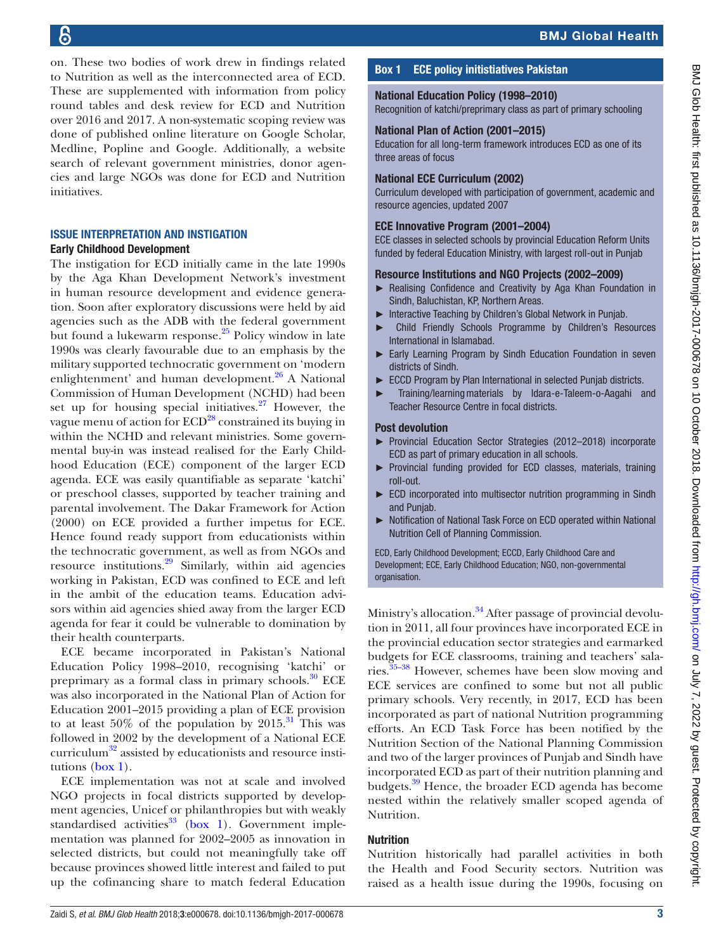on. These two bodies of work drew in findings related to Nutrition as well as the interconnected area of ECD. These are supplemented with information from policy round tables and desk review for ECD and Nutrition over 2016 and 2017. A non-systematic scoping review was done of published online literature on Google Scholar, Medline, Popline and Google. Additionally, a website search of relevant government ministries, donor agencies and large NGOs was done for ECD and Nutrition initiatives.

# Issue interpretation and instigation Early Childhood Development

The instigation for ECD initially came in the late 1990s by the Aga Khan Development Network's investment in human resource development and evidence generation. Soon after exploratory discussions were held by aid agencies such as the ADB with the federal government but found a lukewarm response.<sup>25</sup> Policy window in late 1990s was clearly favourable due to an emphasis by the military supported technocratic government on 'modern enlightenment' and human development. $26$  A National Commission of Human Development (NCHD) had been set up for housing special initiatives. $27$  However, the vague menu of action for ECD<sup>28</sup> constrained its buying in within the NCHD and relevant ministries. Some governmental buy-in was instead realised for the Early Childhood Education (ECE) component of the larger ECD agenda. ECE was easily quantifiable as separate 'katchi' or preschool classes, supported by teacher training and parental involvement. The Dakar Framework for Action (2000) on ECE provided a further impetus for ECE. Hence found ready support from educationists within the technocratic government, as well as from NGOs and resource institutions.<sup>29</sup> Similarly, within aid agencies working in Pakistan, ECD was confined to ECE and left in the ambit of the education teams. Education advisors within aid agencies shied away from the larger ECD agenda for fear it could be vulnerable to domination by their health counterparts.

ECE became incorporated in Pakistan's National Education Policy 1998–2010, recognising 'katchi' or preprimary as a formal class in primary schools. $30$  ECE was also incorporated in the National Plan of Action for Education 2001–2015 providing a plan of ECE provision to at least  $50\%$  of the population by  $2015$ .<sup>[31](#page-6-27)</sup> This was followed in 2002 by the development of a National ECE curriculum[32](#page-6-28) assisted by educationists and resource institutions [\(box](#page-2-0) 1).

ECE implementation was not at scale and involved NGO projects in focal districts supported by development agencies, Unicef or philanthropies but with weakly standardised activities $33$  [\(box](#page-2-0) 1). Government implementation was planned for 2002–2005 as innovation in selected districts, but could not meaningfully take off because provinces showed little interest and failed to put up the cofinancing share to match federal Education

# Box 1 ECE policy initistiatives Pakistan

# <span id="page-2-0"></span>National Education Policy (1998–2010)

Recognition of katchi/preprimary class as part of primary schooling

## National Plan of Action (2001–2015)

Education for all long-term framework introduces ECD as one of its three areas of focus

#### National ECE Curriculum (2002)

Curriculum developed with participation of government, academic and resource agencies, updated 2007

#### ECE Innovative Program (2001–2004)

ECE classes in selected schools by provincial Education Reform Units funded by federal Education Ministry, with largest roll-out in Punjab

#### Resource Institutions and NGO Projects (2002–2009)

- ► Realising Confidence and Creativity by Aga Khan Foundation in Sindh, Baluchistan, KP, Northern Areas.
- ► Interactive Teaching by Children's Global Network in Punjab.
- Child Friendly Schools Programme by Children's Resources International in Islamabad.
- ► Early Learning Program by Sindh Education Foundation in seven districts of Sindh.
- ► ECCD Program by Plan International in selected Punjab districts.
- Training/learning materials by Idara-e-Taleem-o-Aagahi and Teacher Resource Centre in focal districts.

#### Post devolution

- ► Provincial Education Sector Strategies (2012–2018) incorporate ECD as part of primary education in all schools.
- ► Provincial funding provided for ECD classes, materials, training roll-out.
- ► ECD incorporated into multisector nutrition programming in Sindh and Punjab.
- ► Notification of National Task Force on ECD operated within National Nutrition Cell of Planning Commission.

ECD, Early Childhood Development; ECCD, Early Childhood Care and Development; ECE, Early Childhood Education; NGO, non-governmental organisation.

Ministry's allocation.<sup>[34](#page-7-0)</sup> After passage of provincial devolution in 2011, all four provinces have incorporated ECE in the provincial education sector strategies and earmarked budgets for ECE classrooms, training and teachers' salaries.[35–38](#page-7-1) However, schemes have been slow moving and ECE services are confined to some but not all public primary schools. Very recently, in 2017, ECD has been incorporated as part of national Nutrition programming efforts. An ECD Task Force has been notified by the Nutrition Section of the National Planning Commission and two of the larger provinces of Punjab and Sindh have incorporated ECD as part of their nutrition planning and budgets.[39](#page-7-2) Hence, the broader ECD agenda has become nested within the relatively smaller scoped agenda of Nutrition.

## **Nutrition**

Nutrition historically had parallel activities in both the Health and Food Security sectors. Nutrition was raised as a health issue during the 1990s, focusing on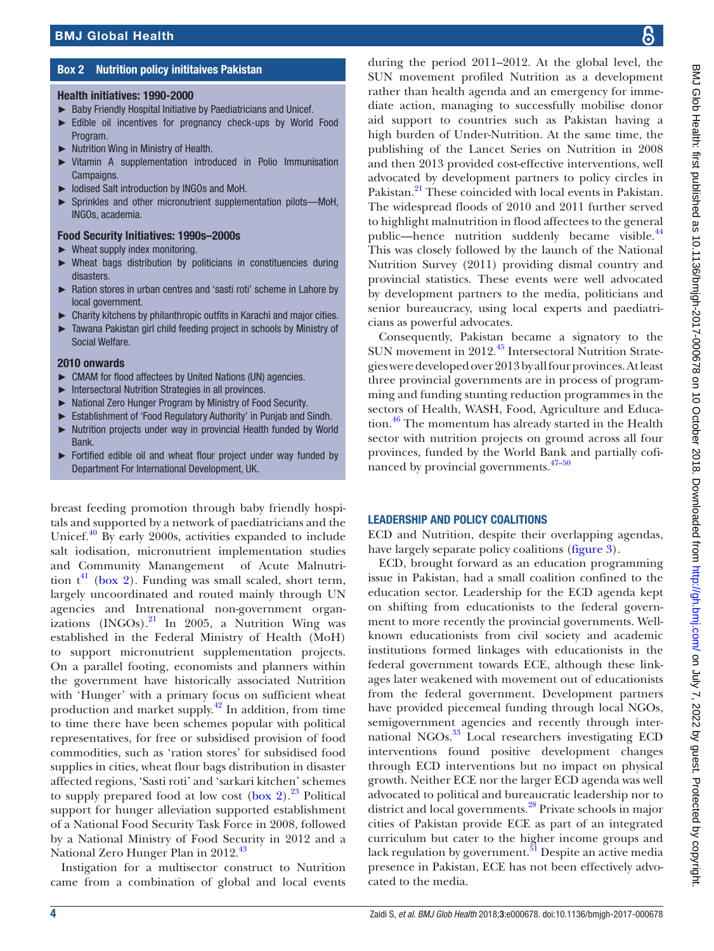# Box 2 Nutrition policy inititaives Pakistan

# <span id="page-3-0"></span>Health initiatives: 1990-2000

- ► Baby Friendly Hospital Initiative by Paediatricians and Unicef.
- ► Edible oil incentives for pregnancy check-ups by World Food Program.
- ► Nutrition Wing in Ministry of Health.
- ► Vitamin A supplementation introduced in Polio Immunisation Campaigns.
- ► Iodised Salt introduction by INGOs and MoH.
- Sprinkles and other micronutrient supplementation pilots-MoH, INGOs, academia.

# Food Security Initiatives: 1990s–2000s

- ► Wheat supply index monitoring.
- ► Wheat bags distribution by politicians in constituencies during disasters.
- ► Ration stores in urban centres and 'sasti roti' scheme in Lahore by local government.
- Charity kitchens by philanthropic outfits in Karachi and major cities.
- Tawana Pakistan girl child feeding project in schools by Ministry of Social Welfare.

# 2010 onwards

- ► CMAM for flood affectees by United Nations (UN) agencies.
- ► Intersectoral Nutrition Strategies in all provinces.
- ► National Zero Hunger Program by Ministry of Food Security.
- ► Establishment of 'Food Regulatory Authority' in Punjab and Sindh.
- Nutrition projects under way in provincial Health funded by World **Bank**
- ► Fortified edible oil and wheat flour project under way funded by Department For International Development, UK.

breast feeding promotion through baby friendly hospitals and supported by a network of paediatricians and the Unicef.<sup>40</sup> By early 2000s, activities expanded to include salt iodisation, micronutrient implementation studies and Community Manangement of Acute Malnutrition  $t^{41}$  [\(box](#page-3-0) 2). Funding was small scaled, short term, largely uncoordinated and routed mainly through UN agencies and Intrenational non-government organizations  $(INGOs).<sup>21</sup>$  In 2005, a Nutrition Wing was established in the Federal Ministry of Health (MoH) to support micronutrient supplementation projects. On a parallel footing, economists and planners within the government have historically associated Nutrition with 'Hunger' with a primary focus on sufficient wheat production and market supply.[42](#page-7-5) In addition, from time to time there have been schemes popular with political representatives, for free or subsidised provision of food commodities, such as 'ration stores' for subsidised food supplies in cities, wheat flour bags distribution in disaster affected regions, 'Sasti roti' and 'sarkari kitchen' schemes to supply prepared food at low cost  $(box 2)^{23}$  $(box 2)^{23}$  Political support for hunger alleviation supported establishment of a National Food Security Task Force in 2008, followed by a National Ministry of Food Security in 2012 and a National Zero Hunger Plan in 2012.<sup>[43](#page-7-6)</sup>

Instigation for a multisector construct to Nutrition came from a combination of global and local events

during the period 2011–2012. At the global level, the SUN movement profiled Nutrition as a development rather than health agenda and an emergency for immediate action, managing to successfully mobilise donor aid support to countries such as Pakistan having a high burden of Under-Nutrition. At the same time, the publishing of the Lancet Series on Nutrition in 2008 and then 2013 provided cost-effective interventions, well advocated by development partners to policy circles in Pakistan.<sup>21</sup> These coincided with local events in Pakistan. The widespread floods of 2010 and 2011 further served to highlight malnutrition in flood affectees to the general public—hence nutrition suddenly became visible.<sup>[44](#page-7-7)</sup> This was closely followed by the launch of the National Nutrition Survey (2011) providing dismal country and provincial statistics. These events were well advocated by development partners to the media, politicians and senior bureaucracy, using local experts and paediatri-

Consequently, Pakistan became a signatory to the SUN movement in 2012.<sup>45</sup> Intersectoral Nutrition Strategies were developed over 2013 by all four provinces. At least three provincial governments are in process of programming and funding stunting reduction programmes in the sectors of Health, WASH, Food, Agriculture and Education[.46](#page-7-9) The momentum has already started in the Health sector with nutrition projects on ground across all four provinces, funded by the World Bank and partially cofinanced by provincial governments. $47-50$ 

# Leadership and policy coalitions

cians as powerful advocates.

ECD and Nutrition, despite their overlapping agendas, have largely separate policy coalitions [\(figure](#page-4-0) 3).

ECD, brought forward as an education programming issue in Pakistan, had a small coalition confined to the education sector. Leadership for the ECD agenda kept on shifting from educationists to the federal government to more recently the provincial governments. Wellknown educationists from civil society and academic institutions formed linkages with educationists in the federal government towards ECE, although these linkages later weakened with movement out of educationists from the federal government. Development partners have provided piecemeal funding through local NGOs, semigovernment agencies and recently through inter-national NGOs.<sup>[33](#page-6-29)</sup> Local researchers investigating ECD interventions found positive development changes through ECD interventions but no impact on physical growth. Neither ECE nor the larger ECD agenda was well advocated to political and bureaucratic leadership nor to district and local governments.<sup>28</sup> Private schools in major cities of Pakistan provide ECE as part of an integrated curriculum but cater to the higher income groups and lack regulation by government.<sup>51</sup> Despite an active media presence in Pakistan, ECE has not been effectively advocated to the media.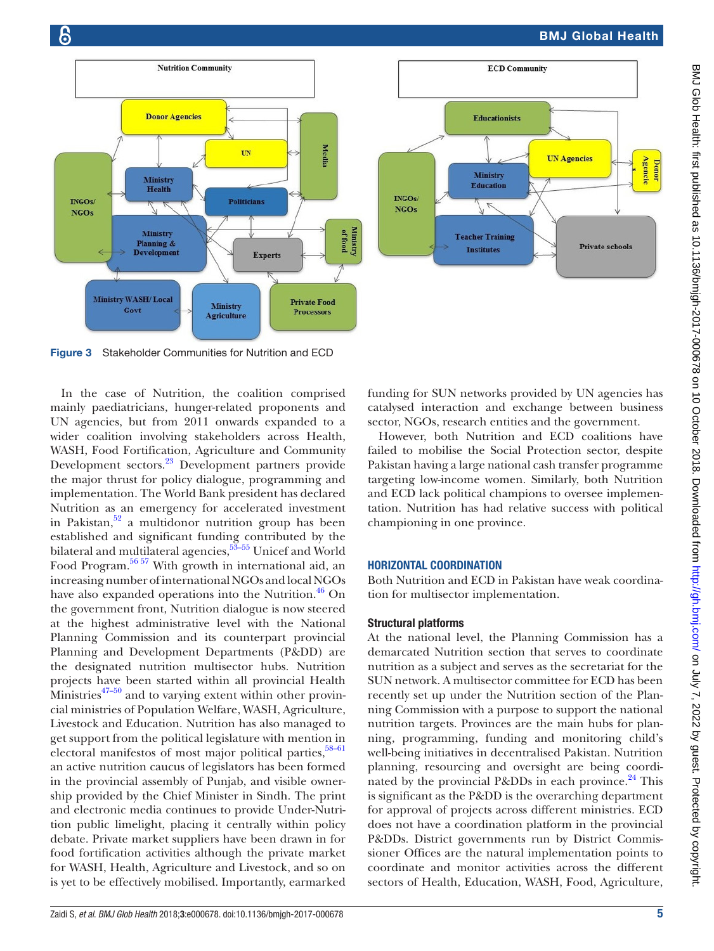# **ECD Community**

**INGOs** 

**NGOs** 

**Educationists** 

Ministry

**Education** 

 $7/$ 

**Teacher Training** 

**Institutes** 



<span id="page-4-0"></span>Figure 3 Stakeholder Communities for Nutrition and ECD

In the case of Nutrition, the coalition comprised mainly paediatricians, hunger-related proponents and UN agencies, but from 2011 onwards expanded to a wider coalition involving stakeholders across Health, WASH, Food Fortification, Agriculture and Community Development sectors.[23](#page-6-19) Development partners provide the major thrust for policy dialogue, programming and implementation. The World Bank president has declared Nutrition as an emergency for accelerated investment in Pakistan, $52$  a multidonor nutrition group has been established and significant funding contributed by the bilateral and multilateral agencies,  $5\frac{3}{5}$  Unicef and World Food Program.<sup>56 57</sup> With growth in international aid, an increasing number of international NGOs and local NGOs have also expanded operations into the Nutrition.<sup>46</sup> On the government front, Nutrition dialogue is now steered at the highest administrative level with the National Planning Commission and its counterpart provincial Planning and Development Departments (P&DD) are the designated nutrition multisector hubs. Nutrition projects have been started within all provincial Health  $M$ inistries<sup>47–50</sup> and to varying extent within other provincial ministries of Population Welfare, WASH, Agriculture, Livestock and Education. Nutrition has also managed to get support from the political legislature with mention in electoral manifestos of most major political parties, $58-61$ an active nutrition caucus of legislators has been formed in the provincial assembly of Punjab, and visible ownership provided by the Chief Minister in Sindh. The print and electronic media continues to provide Under-Nutrition public limelight, placing it centrally within policy debate. Private market suppliers have been drawn in for food fortification activities although the private market for WASH, Health, Agriculture and Livestock, and so on is yet to be effectively mobilised. Importantly, earmarked

funding for SUN networks provided by UN agencies has catalysed interaction and exchange between business sector, NGOs, research entities and the government.

However, both Nutrition and ECD coalitions have failed to mobilise the Social Protection sector, despite Pakistan having a large national cash transfer programme targeting low-income women. Similarly, both Nutrition and ECD lack political champions to oversee implementation. Nutrition has had relative success with political championing in one province.

# Horizontal coordination

Both Nutrition and ECD in Pakistan have weak coordination for multisector implementation.

## Structural platforms

At the national level, the Planning Commission has a demarcated Nutrition section that serves to coordinate nutrition as a subject and serves as the secretariat for the SUN network. A multisector committee for ECD has been recently set up under the Nutrition section of the Planning Commission with a purpose to support the national nutrition targets. Provinces are the main hubs for planning, programming, funding and monitoring child's well-being initiatives in decentralised Pakistan. Nutrition planning, resourcing and oversight are being coordinated by the provincial P&DDs in each province. $^{24}$  This is significant as the P&DD is the overarching department for approval of projects across different ministries. ECD does not have a coordination platform in the provincial P&DDs. District governments run by District Commissioner Offices are the natural implementation points to coordinate and monitor activities across the different sectors of Health, Education, WASH, Food, Agriculture,

**Private schools** 

**Agenci** 

**UN Agencies**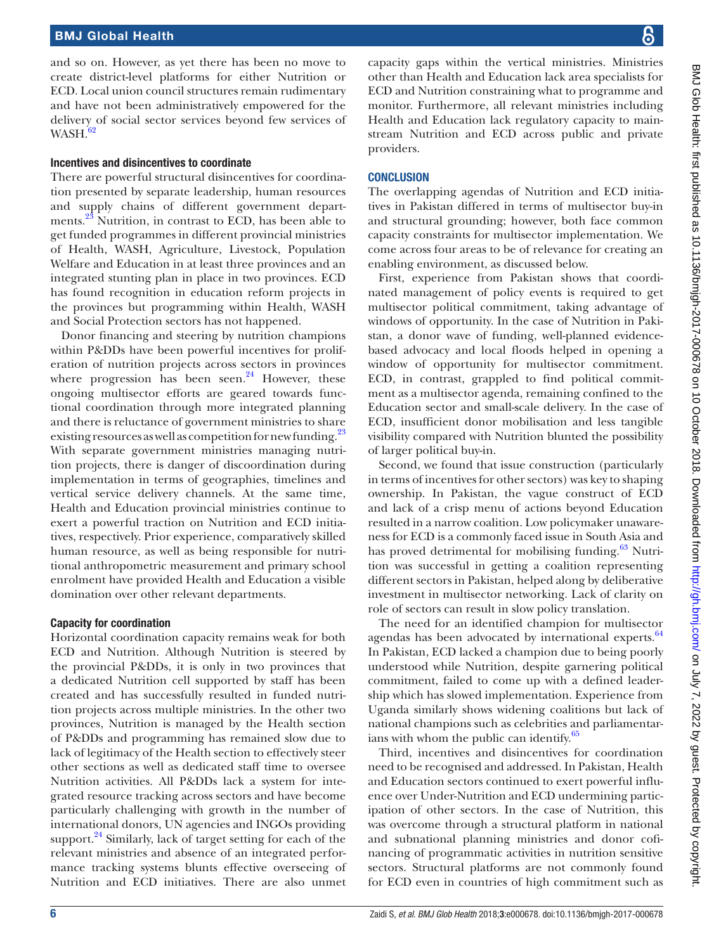and so on. However, as yet there has been no move to create district-level platforms for either Nutrition or ECD. Local union council structures remain rudimentary and have not been administratively empowered for the delivery of social sector services beyond few services of  $WASH.<sup>62</sup>$ 

# Incentives and disincentives to coordinate

There are powerful structural disincentives for coordination presented by separate leadership, human resources and supply chains of different government departments[.23](#page-6-19) Nutrition, in contrast to ECD, has been able to get funded programmes in different provincial ministries of Health, WASH, Agriculture, Livestock, Population Welfare and Education in at least three provinces and an integrated stunting plan in place in two provinces. ECD has found recognition in education reform projects in the provinces but programming within Health, WASH and Social Protection sectors has not happened.

Donor financing and steering by nutrition champions within P&DDs have been powerful incentives for proliferation of nutrition projects across sectors in provinces where progression has been seen. $24$  However, these ongoing multisector efforts are geared towards functional coordination through more integrated planning and there is reluctance of government ministries to share existing resources as well as competition for new funding.<sup>[23](#page-6-19)</sup> With separate government ministries managing nutrition projects, there is danger of discoordination during implementation in terms of geographies, timelines and vertical service delivery channels. At the same time, Health and Education provincial ministries continue to exert a powerful traction on Nutrition and ECD initiatives, respectively. Prior experience, comparatively skilled human resource, as well as being responsible for nutritional anthropometric measurement and primary school enrolment have provided Health and Education a visible domination over other relevant departments.

# Capacity for coordination

Horizontal coordination capacity remains weak for both ECD and Nutrition. Although Nutrition is steered by the provincial P&DDs, it is only in two provinces that a dedicated Nutrition cell supported by staff has been created and has successfully resulted in funded nutrition projects across multiple ministries. In the other two provinces, Nutrition is managed by the Health section of P&DDs and programming has remained slow due to lack of legitimacy of the Health section to effectively steer other sections as well as dedicated staff time to oversee Nutrition activities. All P&DDs lack a system for integrated resource tracking across sectors and have become particularly challenging with growth in the number of international donors, UN agencies and INGOs providing support. $^{24}$  $^{24}$  $^{24}$  Similarly, lack of target setting for each of the relevant ministries and absence of an integrated performance tracking systems blunts effective overseeing of Nutrition and ECD initiatives. There are also unmet

capacity gaps within the vertical ministries. Ministries other than Health and Education lack area specialists for ECD and Nutrition constraining what to programme and monitor. Furthermore, all relevant ministries including Health and Education lack regulatory capacity to mainstream Nutrition and ECD across public and private providers.

# **CONCLUSION**

The overlapping agendas of Nutrition and ECD initiatives in Pakistan differed in terms of multisector buy-in and structural grounding; however, both face common capacity constraints for multisector implementation. We come across four areas to be of relevance for creating an enabling environment, as discussed below.

First, experience from Pakistan shows that coordinated management of policy events is required to get multisector political commitment, taking advantage of windows of opportunity. In the case of Nutrition in Pakistan, a donor wave of funding, well-planned evidencebased advocacy and local floods helped in opening a window of opportunity for multisector commitment. ECD, in contrast, grappled to find political commitment as a multisector agenda, remaining confined to the Education sector and small-scale delivery. In the case of ECD, insufficient donor mobilisation and less tangible visibility compared with Nutrition blunted the possibility of larger political buy-in.

Second, we found that issue construction (particularly in terms of incentives for other sectors) was key to shaping ownership. In Pakistan, the vague construct of ECD and lack of a crisp menu of actions beyond Education resulted in a narrow coalition. Low policymaker unawareness for ECD is a commonly faced issue in South Asia and has proved detrimental for mobilising funding.<sup>63</sup> Nutrition was successful in getting a coalition representing different sectors in Pakistan, helped along by deliberative investment in multisector networking. Lack of clarity on role of sectors can result in slow policy translation.

The need for an identified champion for multisector agendas has been advocated by international experts.<sup>[64](#page-7-18)</sup> In Pakistan, ECD lacked a champion due to being poorly understood while Nutrition, despite garnering political commitment, failed to come up with a defined leadership which has slowed implementation. Experience from Uganda similarly shows widening coalitions but lack of national champions such as celebrities and parliamentarians with whom the public can identify. $65$ 

Third, incentives and disincentives for coordination need to be recognised and addressed. In Pakistan, Health and Education sectors continued to exert powerful influence over Under-Nutrition and ECD undermining participation of other sectors. In the case of Nutrition, this was overcome through a structural platform in national and subnational planning ministries and donor cofinancing of programmatic activities in nutrition sensitive sectors. Structural platforms are not commonly found for ECD even in countries of high commitment such as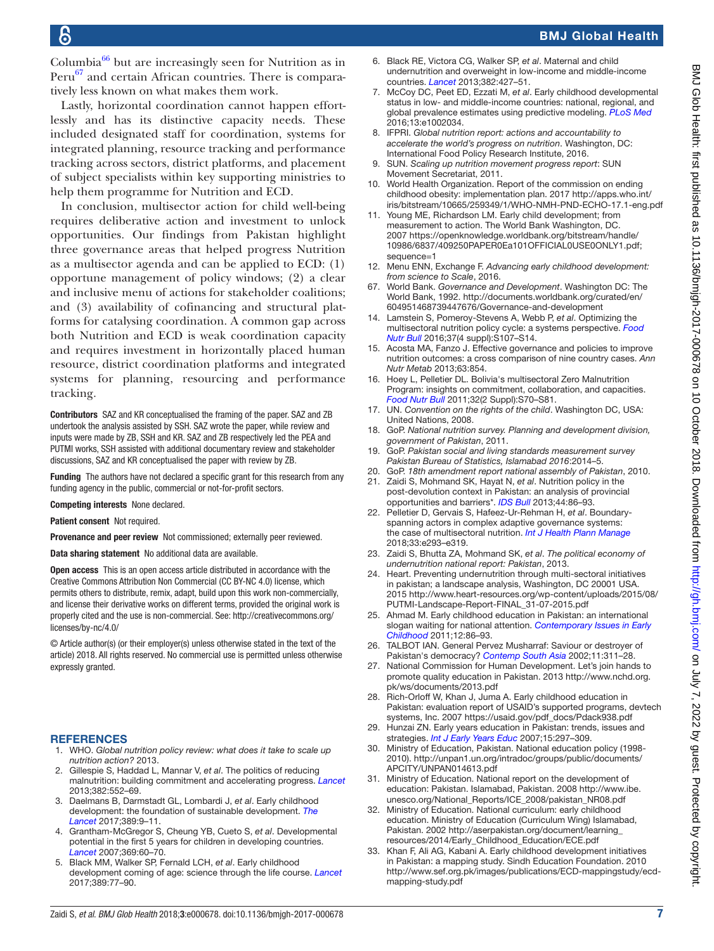# BMJ Global Health

Columbia $^{66}$  but are increasingly seen for Nutrition as in Peru $^{67}$  $^{67}$  $^{67}$  and certain African countries. There is comparatively less known on what makes them work.

Lastly, horizontal coordination cannot happen effortlessly and has its distinctive capacity needs. These included designated staff for coordination, systems for integrated planning, resource tracking and performance tracking across sectors, district platforms, and placement of subject specialists within key supporting ministries to help them programme for Nutrition and ECD.

In conclusion, multisector action for child well-being requires deliberative action and investment to unlock opportunities. Our findings from Pakistan highlight three governance areas that helped progress Nutrition as a multisector agenda and can be applied to ECD: (1) opportune management of policy windows; (2) a clear and inclusive menu of actions for stakeholder coalitions; and (3) availability of cofinancing and structural platforms for catalysing coordination. A common gap across both Nutrition and ECD is weak coordination capacity and requires investment in horizontally placed human resource, district coordination platforms and integrated systems for planning, resourcing and performance tracking.

Contributors SAZ and KR conceptualised the framing of the paper. SAZ and ZB undertook the analysis assisted by SSH. SAZ wrote the paper, while review and inputs were made by ZB, SSH and KR. SAZ and ZB respectively led the PEA and PUTMI works, SSH assisted with additional documentary review and stakeholder discussions, SAZ and KR conceptualised the paper with review by ZB.

Funding The authors have not declared a specific grant for this research from any funding agency in the public, commercial or not-for-profit sectors.

Competing interests None declared.

Patient consent Not required.

Provenance and peer review Not commissioned; externally peer reviewed.

Data sharing statement No additional data are available.

Open access This is an open access article distributed in accordance with the Creative Commons Attribution Non Commercial (CC BY-NC 4.0) license, which permits others to distribute, remix, adapt, build upon this work non-commercially, and license their derivative works on different terms, provided the original work is properly cited and the use is non-commercial. See: [http://creativecommons.org/](http://creativecommons.org/licenses/by-nc/4.0/) [licenses/by-nc/4.0/](http://creativecommons.org/licenses/by-nc/4.0/)

© Article author(s) (or their employer(s) unless otherwise stated in the text of the article) 2018. All rights reserved. No commercial use is permitted unless otherwise expressly granted.

#### **REFERENCES**

- <span id="page-6-0"></span>1. WHO. *Global nutrition policy review: what does it take to scale up nutrition action?* 2013.
- <span id="page-6-1"></span>2. Gillespie S, Haddad L, Mannar V, *et al*. The politics of reducing malnutrition: building commitment and accelerating progress. *[Lancet](http://dx.doi.org/10.1016/S0140-6736(13)60842-9)* 2013;382:552–69.
- <span id="page-6-9"></span>3. Daelmans B, Darmstadt GL, Lombardi J, *et al*. Early childhood development: the foundation of sustainable development. *[The](http://dx.doi.org/10.1016/S0140-6736(16)31659-2)  [Lancet](http://dx.doi.org/10.1016/S0140-6736(16)31659-2)* 2017;389:9–11.
- <span id="page-6-2"></span>4. Grantham-McGregor S, Cheung YB, Cueto S, *et al*. Developmental potential in the first 5 years for children in developing countries. *[Lancet](http://dx.doi.org/10.1016/S0140-6736(07)60032-4)* 2007;369:60–70.
- <span id="page-6-3"></span>5. Black MM, Walker SP, Fernald LCH, *et al*. Early childhood development coming of age: science through the life course. *[Lancet](http://dx.doi.org/10.1016/S0140-6736(16)31389-7)* 2017;389:77–90.
- <span id="page-6-4"></span>6. Black RE, Victora CG, Walker SP, *et al*. Maternal and child undernutrition and overweight in low-income and middle-income countries. *[Lancet](http://dx.doi.org/10.1016/S0140-6736(13)60937-X)* 2013;382:427–51.
- <span id="page-6-5"></span>7. McCoy DC, Peet ED, Ezzati M, *et al*. Early childhood developmental status in low- and middle-income countries: national, regional, and global prevalence estimates using predictive modeling. *[PLoS Med](http://dx.doi.org/10.1371/journal.pmed.1002034)* 2016;13:e1002034.
- <span id="page-6-6"></span>8. IFPRI. *Global nutrition report: actions and accountability to accelerate the world's progress on nutrition*. Washington, DC: International Food Policy Research Institute, 2016.
- <span id="page-6-7"></span>9. SUN. *Scaling up nutrition movement progress report*: SUN Movement Secretariat, 2011.
- 10. World Health Organization. Report of the commission on ending childhood obesity: implementation plan. 2017 [http://apps.who.int/](http://apps.who.int/iris/bitstream/10665/259349/1/WHO-NMH-PND-ECHO-17.1-eng.pdf) [iris/bitstream/10665/259349/1/WHO-NMH-PND-ECHO-17.1-eng.pdf](http://apps.who.int/iris/bitstream/10665/259349/1/WHO-NMH-PND-ECHO-17.1-eng.pdf)
- <span id="page-6-8"></span>Young ME, Richardson LM. Early child development; from measurement to action. The World Bank Washington, DC. 2007 [https://openknowledge.worldbank.org/bitstream/handle/](https://openknowledge.worldbank.org/bitstream/handle/10986/6837/409250PAPER0Ea101OFFICIAL0USE0ONLY1.pdf;sequence=1) [10986/6837/409250PAPER0Ea101OFFICIAL0USE0ONLY1.pdf;](https://openknowledge.worldbank.org/bitstream/handle/10986/6837/409250PAPER0Ea101OFFICIAL0USE0ONLY1.pdf;sequence=1) [sequence=1](https://openknowledge.worldbank.org/bitstream/handle/10986/6837/409250PAPER0Ea101OFFICIAL0USE0ONLY1.pdf;sequence=1)
- <span id="page-6-10"></span>12. Menu ENN, Exchange F. *Advancing early childhood development: from science to Scale*, 2016.
- <span id="page-6-11"></span>67. World Bank. *Governance and Development*. Washington DC: The World Bank, 1992. [http://documents.worldbank.org/curated/en/](http://documents.worldbank.org/curated/en/604951468739447676/Governance-and-development) [604951468739447676/Governance-and-development](http://documents.worldbank.org/curated/en/604951468739447676/Governance-and-development)
- <span id="page-6-12"></span>14. Lamstein S, Pomeroy-Stevens A, Webb P, *et al*. Optimizing the multisectoral nutrition policy cycle: a systems perspective. *[Food](http://dx.doi.org/10.1177/0379572116675994)  [Nutr Bull](http://dx.doi.org/10.1177/0379572116675994)* 2016;37(4 suppl):S107–S14.
- <span id="page-6-18"></span>15. Acosta MA, Fanzo J. Effective governance and policies to improve nutrition outcomes: a cross comparison of nine country cases. *Ann Nutr Metab* 2013;63:854.
- 16. Hoey L, Pelletier DL. Bolivia's multisectoral Zero Malnutrition Program: insights on commitment, collaboration, and capacities. *[Food Nutr Bull](http://dx.doi.org/10.1177/15648265110322S204)* 2011;32(2 Suppl):S70–S81.
- <span id="page-6-13"></span>17. UN. *Convention on the rights of the child*. Washington DC, USA: United Nations, 2008.
- <span id="page-6-14"></span>18. GoP. *National nutrition survey. Planning and development division, government of Pakistan*, 2011.
- <span id="page-6-15"></span>19. GoP. *Pakistan social and living standards measurement survey Pakistan Bureau of Statistics, Islamabad 2016*:2014–5.
- <span id="page-6-17"></span><span id="page-6-16"></span>20. GoP. *18th amendment report national assembly of Pakistan*, 2010. 21. Zaidi S, Mohmand SK, Hayat N, *et al*. Nutrition policy in the
- post-devolution context in Pakistan: an analysis of provincial opportunities and barriers\*. *[IDS Bull](http://dx.doi.org/10.1111/1759-5436.12035)* 2013;44:86–93.
- 22. Pelletier D, Gervais S, Hafeez-Ur-Rehman H, *et al*. Boundaryspanning actors in complex adaptive governance systems: the case of multisectoral nutrition. *[Int J Health Plann Manage](http://dx.doi.org/10.1002/hpm.2468)* 2018;33:e293–e319.
- <span id="page-6-19"></span>23. Zaidi S, Bhutta ZA, Mohmand SK, *et al*. *The political economy of undernutrition national report: Pakistan*, 2013.
- <span id="page-6-20"></span>24. Heart. Preventing undernutrition through multi-sectoral initiatives in pakistan; a landscape analysis, Washington, DC 20001 USA. 2015 [http://www.heart-resources.org/wp-content/uploads/2015/08/](http://www.heart-resources.org/wp-content/uploads/2015/08/PUTMI-Landscape-Report-FINAL_31-07-2015.pdf) [PUTMI-Landscape-Report-FINAL\\_31-07-2015.pdf](http://www.heart-resources.org/wp-content/uploads/2015/08/PUTMI-Landscape-Report-FINAL_31-07-2015.pdf)
- <span id="page-6-21"></span>25. Ahmad M. Early childhood education in Pakistan: an international slogan waiting for national attention. *[Contemporary Issues in Early](http://dx.doi.org/10.2304/ciec.2011.12.1.86)  [Childhood](http://dx.doi.org/10.2304/ciec.2011.12.1.86)* 2011;12:86–93.
- <span id="page-6-22"></span>26. TALBOT IAN. General Pervez Musharraf: Saviour or destroyer of Pakistan's democracy? *[Contemp South Asia](http://dx.doi.org/10.1080/0958493032000057726)* 2002;11:311–28.
- <span id="page-6-23"></span>27. National Commission for Human Development. Let's join hands to promote quality education in Pakistan. 2013 [http://www.nchd.org.](http://www.nchd.org.pk/ws/documents/2013.pdf) [pk/ws/documents/2013.pdf](http://www.nchd.org.pk/ws/documents/2013.pdf)
- <span id="page-6-24"></span>28. Rich-Orloff W, Khan J, Juma A. Early childhood education in Pakistan: evaluation report of USAID's supported programs, devtech systems, Inc. 2007 [https://usaid.gov/pdf\\_docs/Pdack938.pdf](https://usaid.gov/pdf_docs/Pdack938.pdf)
- <span id="page-6-25"></span>29. Hunzai ZN. Early years education in Pakistan: trends, issues and strategies. *[Int J Early Years Educ](http://dx.doi.org/10.1080/09669760701516975)* 2007;15:297–309.
- <span id="page-6-26"></span>30. Ministry of Education, Pakistan. National education policy (1998- 2010). [http://unpan1.un.org/intradoc/groups/public/documents/](http://unpan1.un.org/intradoc/groups/public/documents/APCITY/UNPAN014613.pdf) [APCITY/UNPAN014613.pdf](http://unpan1.un.org/intradoc/groups/public/documents/APCITY/UNPAN014613.pdf)
- <span id="page-6-27"></span>31. Ministry of Education. National report on the development of education: Pakistan. Islamabad, Pakistan. 2008 [http://www.ibe.](http://www.ibe.unesco.org/National_Reports/ICE_2008/pakistan_NR08.pdf) [unesco.org/National\\_Reports/ICE\\_2008/pakistan\\_NR08.pdf](http://www.ibe.unesco.org/National_Reports/ICE_2008/pakistan_NR08.pdf)
- <span id="page-6-28"></span>32. Ministry of Education. National curriculum: early childhood education. Ministry of Education (Curriculum Wing) Islamabad, Pakistan. 2002 [http://aserpakistan.org/document/learning\\_](http://aserpakistan.org/document/learning_resources/2014/Early_Childhood_Education/ECE.pdf) [resources/2014/Early\\_Childhood\\_Education/ECE.pdf](http://aserpakistan.org/document/learning_resources/2014/Early_Childhood_Education/ECE.pdf)
- <span id="page-6-29"></span>33. Khan F, Ali AG, Kabani A. Early childhood development initiatives in Pakistan: a mapping study. Sindh Education Foundation. 2010 [http://www.sef.org.pk/images/publications/ECD-mappingstudy/ecd](http://www.sef.org.pk/images/publications/ECD-mappingstudy/ecd-mapping-study.pdf)[mapping-study.pdf](http://www.sef.org.pk/images/publications/ECD-mappingstudy/ecd-mapping-study.pdf)